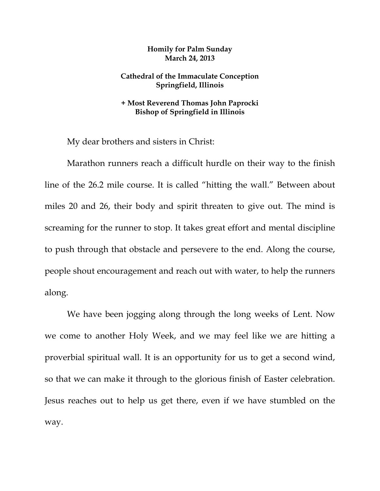## **Homily for Palm Sunday March 24, 2013**

## **Cathedral of the Immaculate Conception Springfield, Illinois**

## **+ Most Reverend Thomas John Paprocki Bishop of Springfield in Illinois**

My dear brothers and sisters in Christ:

 Marathon runners reach a difficult hurdle on their way to the finish line of the 26.2 mile course. It is called "hitting the wall." Between about miles 20 and 26, their body and spirit threaten to give out. The mind is screaming for the runner to stop. It takes great effort and mental discipline to push through that obstacle and persevere to the end. Along the course, people shout encouragement and reach out with water, to help the runners along.

 We have been jogging along through the long weeks of Lent. Now we come to another Holy Week, and we may feel like we are hitting a proverbial spiritual wall. It is an opportunity for us to get a second wind, so that we can make it through to the glorious finish of Easter celebration. Jesus reaches out to help us get there, even if we have stumbled on the way.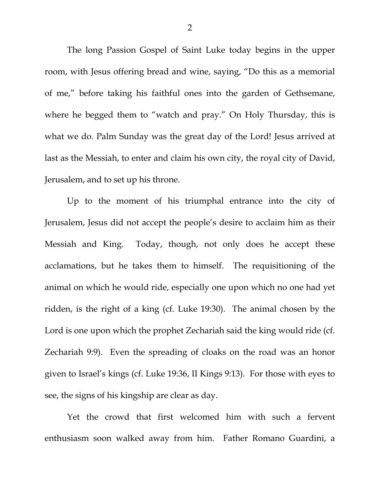The long Passion Gospel of Saint Luke today begins in the upper room, with Jesus offering bread and wine, saying, "Do this as a memorial of me," before taking his faithful ones into the garden of Gethsemane, where he begged them to "watch and pray." On Holy Thursday, this is what we do. Palm Sunday was the great day of the Lord! Jesus arrived at last as the Messiah, to enter and claim his own city, the royal city of David, Jerusalem, and to set up his throne.

Up to the moment of his triumphal entrance into the city of Jerusalem, Jesus did not accept the people's desire to acclaim him as their Messiah and King. Today, though, not only does he accept these acclamations, but he takes them to himself. The requisitioning of the animal on which he would ride, especially one upon which no one had yet ridden, is the right of a king (cf. Luke 19:30). The animal chosen by the Lord is one upon which the prophet Zechariah said the king would ride (cf. Zechariah 9:9). Even the spreading of cloaks on the road was an honor given to Israel's kings (cf. Luke 19:36, II Kings 9:13). For those with eyes to see, the signs of his kingship are clear as day.

 Yet the crowd that first welcomed him with such a fervent enthusiasm soon walked away from him. Father Romano Guardini, a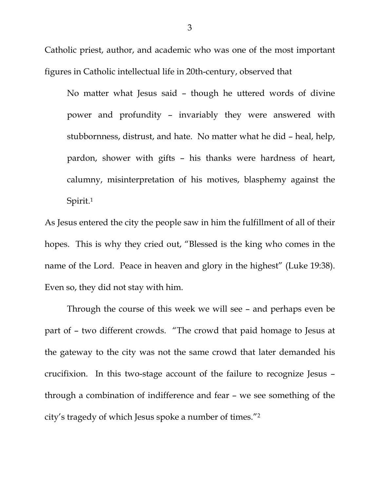Catholic priest, author, and academic who was one of the most important figures in Catholic intellectual life in 20th-century, observed that

No matter what Jesus said – though he uttered words of divine power and profundity – invariably they were answered with stubbornness, distrust, and hate. No matter what he did – heal, help, pardon, shower with gifts – his thanks were hardness of heart, calumny, misinterpretation of his motives, blasphemy against the Spirit.1

As Jesus entered the city the people saw in him the fulfillment of all of their hopes. This is why they cried out, "Blessed is the king who comes in the name of the Lord. Peace in heaven and glory in the highest" (Luke 19:38). Even so, they did not stay with him.

 Through the course of this week we will see – and perhaps even be part of – two different crowds. "The crowd that paid homage to Jesus at the gateway to the city was not the same crowd that later demanded his crucifixion. In this two-stage account of the failure to recognize Jesus – through a combination of indifference and fear – we see something of the city's tragedy of which Jesus spoke a number of times."2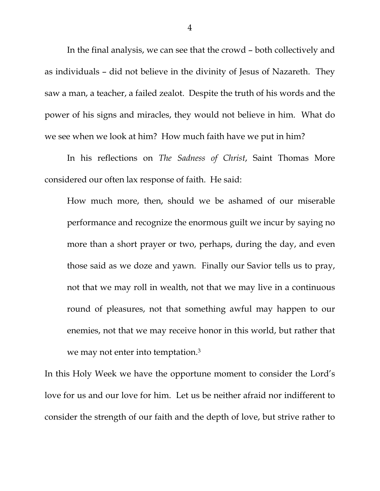In the final analysis, we can see that the crowd – both collectively and as individuals – did not believe in the divinity of Jesus of Nazareth. They saw a man, a teacher, a failed zealot. Despite the truth of his words and the power of his signs and miracles, they would not believe in him. What do we see when we look at him? How much faith have we put in him?

 In his reflections on *The Sadness of Christ*, Saint Thomas More considered our often lax response of faith. He said:

How much more, then, should we be ashamed of our miserable performance and recognize the enormous guilt we incur by saying no more than a short prayer or two, perhaps, during the day, and even those said as we doze and yawn. Finally our Savior tells us to pray, not that we may roll in wealth, not that we may live in a continuous round of pleasures, not that something awful may happen to our enemies, not that we may receive honor in this world, but rather that we may not enter into temptation.3

In this Holy Week we have the opportune moment to consider the Lord's love for us and our love for him. Let us be neither afraid nor indifferent to consider the strength of our faith and the depth of love, but strive rather to